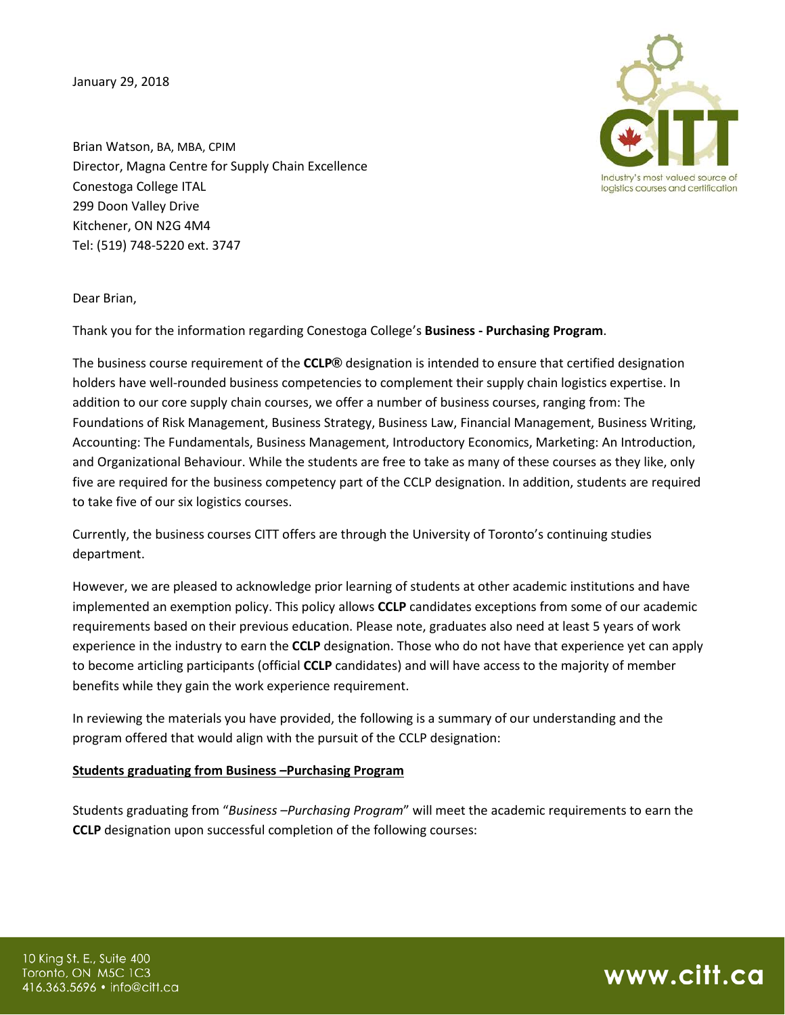January 29, 2018



Brian Watson, BA, MBA, CPIM Director, Magna Centre for Supply Chain Excellence Conestoga College ITAL 299 Doon Valley Drive Kitchener, ON N2G 4M4 Tel: (519) 748-5220 ext. 3747

Dear Brian,

Thank you for the information regarding Conestoga College's **Business - Purchasing Program**.

The business course requirement of the **CCLP®** designation is intended to ensure that certified designation holders have well-rounded business competencies to complement their supply chain logistics expertise. In addition to our core supply chain courses, we offer a number of business courses, ranging from: The Foundations of Risk Management, Business Strategy, Business Law, Financial Management, Business Writing, Accounting: The Fundamentals, Business Management, Introductory Economics, Marketing: An Introduction, and Organizational Behaviour. While the students are free to take as many of these courses as they like, only five are required for the business competency part of the CCLP designation. In addition, students are required to take five of our six logistics courses.

Currently, the business courses CITT offers are through the University of Toronto's continuing studies department.

However, we are pleased to acknowledge prior learning of students at other academic institutions and have implemented an exemption policy. This policy allows **CCLP** candidates exceptions from some of our academic requirements based on their previous education. Please note, graduates also need at least 5 years of work experience in the industry to earn the **CCLP** designation. Those who do not have that experience yet can apply to become articling participants (official **CCLP** candidates) and will have access to the majority of member benefits while they gain the work experience requirement.

In reviewing the materials you have provided, the following is a summary of our understanding and the program offered that would align with the pursuit of the CCLP designation:

## **Students graduating from Business –Purchasing Program**

Students graduating from "*Business –Purchasing Program*" will meet the academic requirements to earn the **CCLP** designation upon successful completion of the following courses: